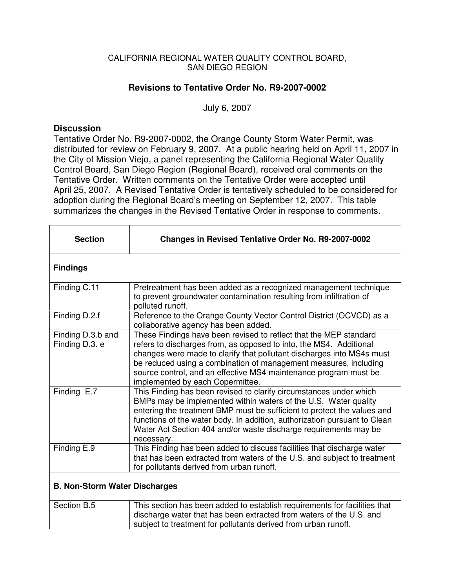## CALIFORNIA REGIONAL WATER QUALITY CONTROL BOARD, SAN DIEGO REGION

## **Revisions to Tentative Order No. R9-2007-0002**

July 6, 2007

## **Discussion**

Tentative Order No. R9-2007-0002, the Orange County Storm Water Permit, was distributed for review on February 9, 2007. At a public hearing held on April 11, 2007 in the City of Mission Viejo, a panel representing the California Regional Water Quality Control Board, San Diego Region (Regional Board), received oral comments on the Tentative Order. Written comments on the Tentative Order were accepted until April 25, 2007. A Revised Tentative Order is tentatively scheduled to be considered for adoption during the Regional Board's meeting on September 12, 2007. This table summarizes the changes in the Revised Tentative Order in response to comments.

| <b>Section</b>                       | <b>Changes in Revised Tentative Order No. R9-2007-0002</b>                                                                                                                                                                                                                                                                                                                                   |  |
|--------------------------------------|----------------------------------------------------------------------------------------------------------------------------------------------------------------------------------------------------------------------------------------------------------------------------------------------------------------------------------------------------------------------------------------------|--|
| <b>Findings</b>                      |                                                                                                                                                                                                                                                                                                                                                                                              |  |
| Finding C.11                         | Pretreatment has been added as a recognized management technique<br>to prevent groundwater contamination resulting from infiltration of<br>polluted runoff.                                                                                                                                                                                                                                  |  |
| Finding D.2.f                        | Reference to the Orange County Vector Control District (OCVCD) as a<br>collaborative agency has been added.                                                                                                                                                                                                                                                                                  |  |
| Finding D.3.b and<br>Finding D.3. e  | These Findings have been revised to reflect that the MEP standard<br>refers to discharges from, as opposed to into, the MS4. Additional<br>changes were made to clarify that pollutant discharges into MS4s must<br>be reduced using a combination of management measures, including<br>source control, and an effective MS4 maintenance program must be<br>implemented by each Copermittee. |  |
| Finding E.7                          | This Finding has been revised to clarify circumstances under which<br>BMPs may be implemented within waters of the U.S. Water quality<br>entering the treatment BMP must be sufficient to protect the values and<br>functions of the water body. In addition, authorization pursuant to Clean<br>Water Act Section 404 and/or waste discharge requirements may be<br>necessary.              |  |
| Finding E.9                          | This Finding has been added to discuss facilities that discharge water<br>that has been extracted from waters of the U.S. and subject to treatment<br>for pollutants derived from urban runoff.                                                                                                                                                                                              |  |
| <b>B. Non-Storm Water Discharges</b> |                                                                                                                                                                                                                                                                                                                                                                                              |  |
| Section B.5                          | This section has been added to establish requirements for facilities that<br>discharge water that has been extracted from waters of the U.S. and<br>subject to treatment for pollutants derived from urban runoff.                                                                                                                                                                           |  |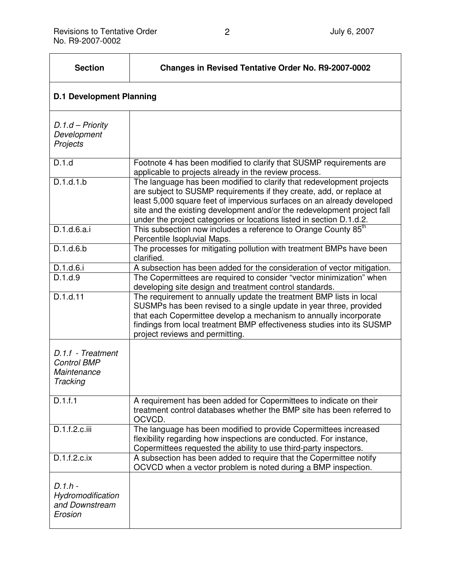| <b>Section</b>                                                     | <b>Changes in Revised Tentative Order No. R9-2007-0002</b>                                                                                                                                                                                                                                                                                                                 |  |
|--------------------------------------------------------------------|----------------------------------------------------------------------------------------------------------------------------------------------------------------------------------------------------------------------------------------------------------------------------------------------------------------------------------------------------------------------------|--|
| <b>D.1 Development Planning</b>                                    |                                                                                                                                                                                                                                                                                                                                                                            |  |
| $D.1.d - Priority$<br>Development<br>Projects                      |                                                                                                                                                                                                                                                                                                                                                                            |  |
| D.1.d                                                              | Footnote 4 has been modified to clarify that SUSMP requirements are<br>applicable to projects already in the review process.                                                                                                                                                                                                                                               |  |
| D.1.d.1.b                                                          | The language has been modified to clarify that redevelopment projects<br>are subject to SUSMP requirements if they create, add, or replace at<br>least 5,000 square feet of impervious surfaces on an already developed<br>site and the existing development and/or the redevelopment project fall<br>under the project categories or locations listed in section D.1.d.2. |  |
| D.1.d.6.a.i                                                        | This subsection now includes a reference to Orange County 85 <sup>th</sup><br>Percentile Isopluvial Maps.                                                                                                                                                                                                                                                                  |  |
| D.1.d.6.b                                                          | The processes for mitigating pollution with treatment BMPs have been<br>clarified.                                                                                                                                                                                                                                                                                         |  |
| D.1.d.6.i                                                          | A subsection has been added for the consideration of vector mitigation.                                                                                                                                                                                                                                                                                                    |  |
| D.1.d.9                                                            | The Copermittees are required to consider "vector minimization" when<br>developing site design and treatment control standards.                                                                                                                                                                                                                                            |  |
| D.1.d.11                                                           | The requirement to annually update the treatment BMP lists in local<br>SUSMPs has been revised to a single update in year three, provided<br>that each Copermittee develop a mechanism to annually incorporate<br>findings from local treatment BMP effectiveness studies into its SUSMP<br>project reviews and permitting.                                                |  |
| D.1.f - Treatment<br><b>Control BMP</b><br>Maintenance<br>Tracking |                                                                                                                                                                                                                                                                                                                                                                            |  |
| D.1.f.1                                                            | A requirement has been added for Copermittees to indicate on their<br>treatment control databases whether the BMP site has been referred to<br>OCVCD.                                                                                                                                                                                                                      |  |
| D.1.f.2.c.iii                                                      | The language has been modified to provide Copermittees increased<br>flexibility regarding how inspections are conducted. For instance,<br>Copermittees requested the ability to use third-party inspectors.                                                                                                                                                                |  |
| D.1.f.2.c.ix                                                       | A subsection has been added to require that the Copermittee notify<br>OCVCD when a vector problem is noted during a BMP inspection.                                                                                                                                                                                                                                        |  |
| $D.1.h -$<br>Hydromodification<br>and Downstream<br>Erosion        |                                                                                                                                                                                                                                                                                                                                                                            |  |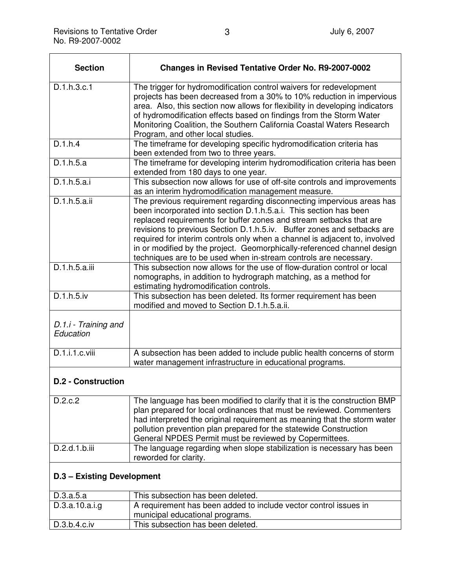| <b>Section</b>                    | <b>Changes in Revised Tentative Order No. R9-2007-0002</b>                                                                                                                                                                                                                                                                                                                                                                                                                                                                |
|-----------------------------------|---------------------------------------------------------------------------------------------------------------------------------------------------------------------------------------------------------------------------------------------------------------------------------------------------------------------------------------------------------------------------------------------------------------------------------------------------------------------------------------------------------------------------|
| D.1.h.3.c.1                       | The trigger for hydromodification control waivers for redevelopment<br>projects has been decreased from a 30% to 10% reduction in impervious<br>area. Also, this section now allows for flexibility in developing indicators<br>of hydromodification effects based on findings from the Storm Water<br>Monitoring Coalition, the Southern California Coastal Waters Research<br>Program, and other local studies.                                                                                                         |
| D.1.h.4                           | The timeframe for developing specific hydromodification criteria has<br>been extended from two to three years.                                                                                                                                                                                                                                                                                                                                                                                                            |
| D.1.h.5.a                         | The timeframe for developing interim hydromodification criteria has been<br>extended from 180 days to one year.                                                                                                                                                                                                                                                                                                                                                                                                           |
| D.1.h.5.a.i                       | This subsection now allows for use of off-site controls and improvements<br>as an interim hydromodification management measure.                                                                                                                                                                                                                                                                                                                                                                                           |
| $D.1.h.\overline{5.a.ii}$         | The previous requirement regarding disconnecting impervious areas has<br>been incorporated into section D.1.h.5.a.i. This section has been<br>replaced requirements for buffer zones and stream setbacks that are<br>revisions to previous Section D.1.h.5.iv. Buffer zones and setbacks are<br>required for interim controls only when a channel is adjacent to, involved<br>in or modified by the project. Geomorphically-referenced channel design<br>techniques are to be used when in-stream controls are necessary. |
| D.1.h.5.a.iii                     | This subsection now allows for the use of flow-duration control or local<br>nomographs, in addition to hydrograph matching, as a method for<br>estimating hydromodification controls.                                                                                                                                                                                                                                                                                                                                     |
| D.1.h.5.iv                        | This subsection has been deleted. Its former requirement has been<br>modified and moved to Section D.1.h.5.a.ii.                                                                                                                                                                                                                                                                                                                                                                                                          |
| D.1.i - Training and<br>Education |                                                                                                                                                                                                                                                                                                                                                                                                                                                                                                                           |
| D.1.i.1.c.viii                    | A subsection has been added to include public health concerns of storm<br>water management infrastructure in educational programs.                                                                                                                                                                                                                                                                                                                                                                                        |
| <b>D.2 - Construction</b>         |                                                                                                                                                                                                                                                                                                                                                                                                                                                                                                                           |
| D.2.c.2                           | The language has been modified to clarify that it is the construction BMP<br>plan prepared for local ordinances that must be reviewed. Commenters<br>had interpreted the original requirement as meaning that the storm water<br>pollution prevention plan prepared for the statewide Construction<br>General NPDES Permit must be reviewed by Copermittees.                                                                                                                                                              |

## **D.3 – Existing Development**

| D.3.a.5.a       | This subsection has been deleted.                                |
|-----------------|------------------------------------------------------------------|
| D.3.a.10.a.i.g. | A requirement has been added to include vector control issues in |
|                 | municipal educational programs.                                  |
| D.3.b.4.c.iv    | This subsection has been deleted.                                |

D.2.d.1.b.iii The language regarding when slope stabilization is necessary has been

reworded for clarity.